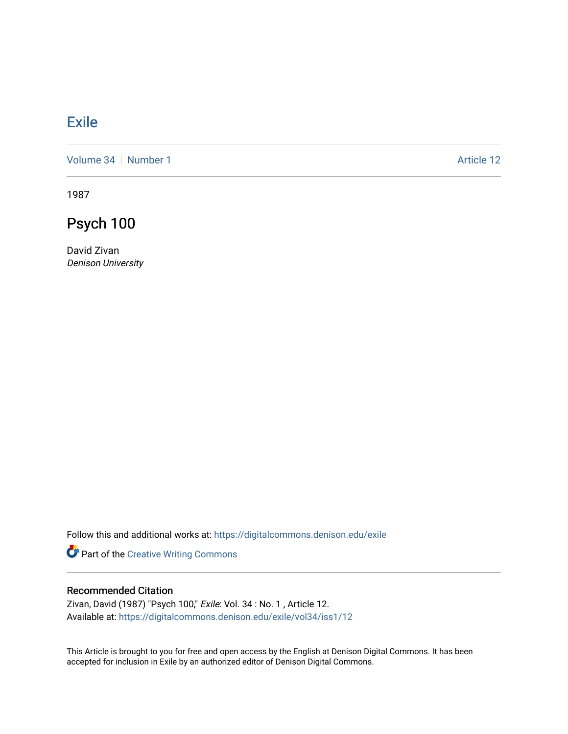## [Exile](https://digitalcommons.denison.edu/exile)

[Volume 34](https://digitalcommons.denison.edu/exile/vol34) [Number 1](https://digitalcommons.denison.edu/exile/vol34/iss1) Article 12

1987

Psych 100

David Zivan Denison University

Follow this and additional works at: [https://digitalcommons.denison.edu/exile](https://digitalcommons.denison.edu/exile?utm_source=digitalcommons.denison.edu%2Fexile%2Fvol34%2Fiss1%2F12&utm_medium=PDF&utm_campaign=PDFCoverPages) 

Part of the [Creative Writing Commons](http://network.bepress.com/hgg/discipline/574?utm_source=digitalcommons.denison.edu%2Fexile%2Fvol34%2Fiss1%2F12&utm_medium=PDF&utm_campaign=PDFCoverPages) 

## Recommended Citation

Zivan, David (1987) "Psych 100," Exile: Vol. 34 : No. 1 , Article 12. Available at: [https://digitalcommons.denison.edu/exile/vol34/iss1/12](https://digitalcommons.denison.edu/exile/vol34/iss1/12?utm_source=digitalcommons.denison.edu%2Fexile%2Fvol34%2Fiss1%2F12&utm_medium=PDF&utm_campaign=PDFCoverPages)

This Article is brought to you for free and open access by the English at Denison Digital Commons. It has been accepted for inclusion in Exile by an authorized editor of Denison Digital Commons.